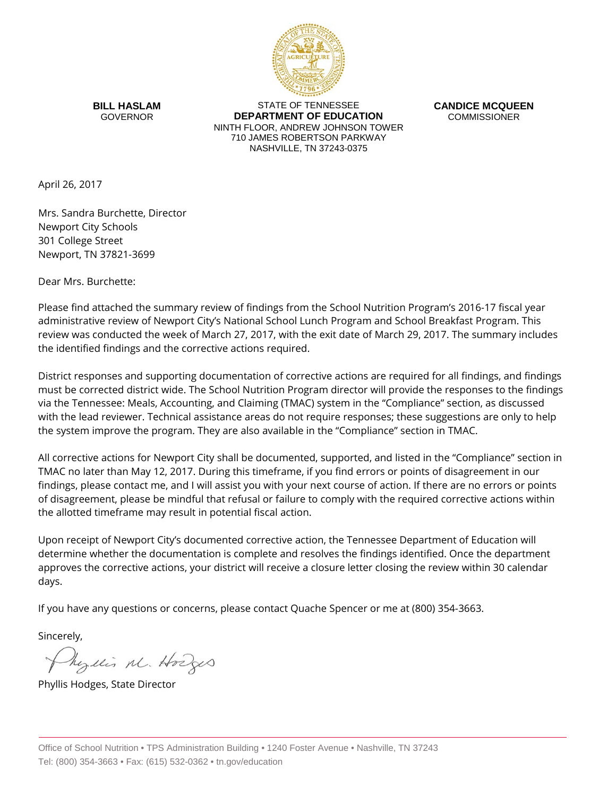

**BILL HASLAM** GOVERNOR

STATE OF TENNESSEE **DEPARTMENT OF EDUCATION** NINTH FLOOR, ANDREW JOHNSON TOWER 710 JAMES ROBERTSON PARKWAY NASHVILLE, TN 37243-0375

**CANDICE MCQUEEN** COMMISSIONER

April 26, 2017

Mrs. Sandra Burchette, Director Newport City Schools 301 College Street Newport, TN 37821-3699

Dear Mrs. Burchette:

Please find attached the summary review of findings from the School Nutrition Program's 2016-17 fiscal year administrative review of Newport City's National School Lunch Program and School Breakfast Program. This review was conducted the week of March 27, 2017, with the exit date of March 29, 2017. The summary includes the identified findings and the corrective actions required.

District responses and supporting documentation of corrective actions are required for all findings, and findings must be corrected district wide. The School Nutrition Program director will provide the responses to the findings via the Tennessee: Meals, Accounting, and Claiming (TMAC) system in the "Compliance" section, as discussed with the lead reviewer. Technical assistance areas do not require responses; these suggestions are only to help the system improve the program. They are also available in the "Compliance" section in TMAC.

All corrective actions for Newport City shall be documented, supported, and listed in the "Compliance" section in TMAC no later than May 12, 2017. During this timeframe, if you find errors or points of disagreement in our findings, please contact me, and I will assist you with your next course of action. If there are no errors or points of disagreement, please be mindful that refusal or failure to comply with the required corrective actions within the allotted timeframe may result in potential fiscal action.

Upon receipt of Newport City's documented corrective action, the Tennessee Department of Education will determine whether the documentation is complete and resolves the findings identified. Once the department approves the corrective actions, your district will receive a closure letter closing the review within 30 calendar days.

If you have any questions or concerns, please contact Quache Spencer or me at (800) 354-3663.

Sincerely,

Myllis M. Hodges

Phyllis Hodges, State Director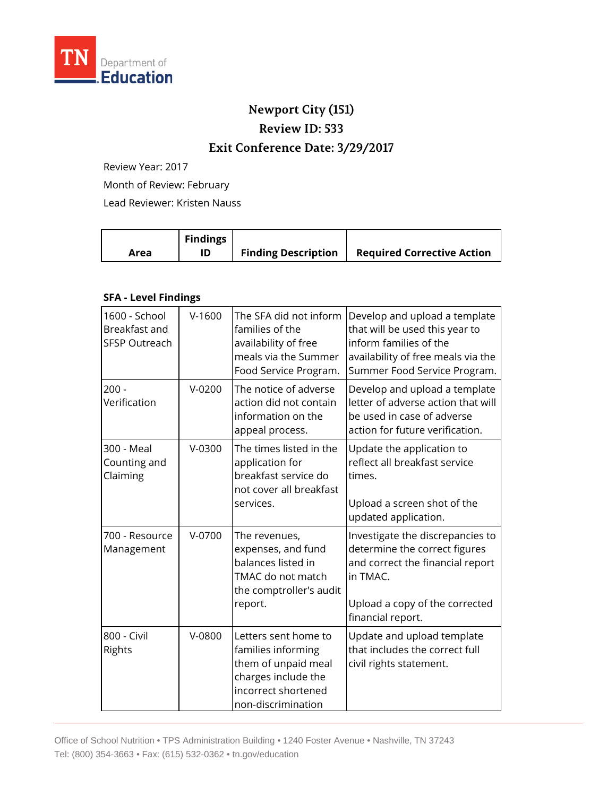

## **Newport City (151) Review ID: 533**

## **Exit Conference Date: 3/29/2017**

Review Year: 2017

Month of Review: February

Lead Reviewer: Kristen Nauss

|      | <b>Findings</b> |                            |                                   |
|------|-----------------|----------------------------|-----------------------------------|
| Area |                 | <b>Finding Description</b> | <b>Required Corrective Action</b> |

## **SFA - Level Findings**

| 1600 - School<br>Breakfast and<br><b>SFSP Outreach</b> | $V-1600$ | The SFA did not inform<br>families of the<br>availability of free<br>meals via the Summer<br>Food Service Program.                    | Develop and upload a template<br>that will be used this year to<br>inform families of the<br>availability of free meals via the<br>Summer Food Service Program.          |
|--------------------------------------------------------|----------|---------------------------------------------------------------------------------------------------------------------------------------|--------------------------------------------------------------------------------------------------------------------------------------------------------------------------|
| $200 -$<br>Verification                                | $V-0200$ | The notice of adverse<br>action did not contain<br>information on the<br>appeal process.                                              | Develop and upload a template<br>letter of adverse action that will<br>be used in case of adverse<br>action for future verification.                                     |
| 300 - Meal<br>Counting and<br>Claiming                 | $V-0300$ | The times listed in the<br>application for<br>breakfast service do<br>not cover all breakfast<br>services.                            | Update the application to<br>reflect all breakfast service<br>times.<br>Upload a screen shot of the<br>updated application.                                              |
| 700 - Resource<br>Management                           | $V-0700$ | The revenues,<br>expenses, and fund<br>balances listed in<br>TMAC do not match<br>the comptroller's audit<br>report.                  | Investigate the discrepancies to<br>determine the correct figures<br>and correct the financial report<br>in TMAC.<br>Upload a copy of the corrected<br>financial report. |
| 800 - Civil<br>Rights                                  | V-0800   | Letters sent home to<br>families informing<br>them of unpaid meal<br>charges include the<br>incorrect shortened<br>non-discrimination | Update and upload template<br>that includes the correct full<br>civil rights statement.                                                                                  |